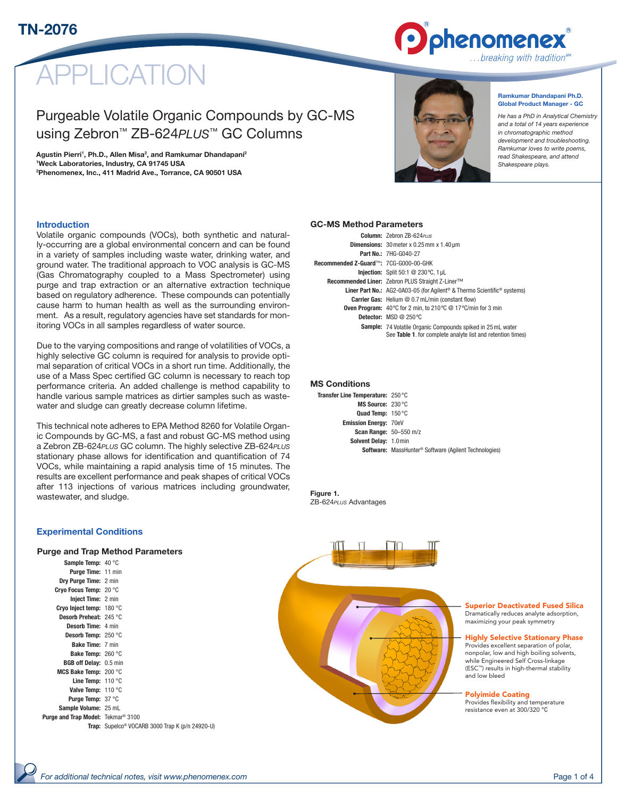

# PI ICATION

# Purgeable Volatile Organic Compounds by GC-MS using Zebron™ ZB-624*PLUS*™ GC Columns

Agustin Pierri<sup>1</sup>, Ph.D., Allen Misa<sup>2</sup>, and Ramkumar Dhandapani<sup>2</sup> 1 Weck Laboratories, Industry, CA 91745 USA 2 Phenomenex, Inc., 411 Madrid Ave., Torrance, CA 90501 USA



Ramkumar Dhandapani Ph.D. Global Product Manager - GC

*He has a PhD in Analytical Chemistry and a total of 14 years experience in chromatographic method development and troubleshooting. Ramkumar loves to write poems, read Shakespeare, and attend Shakespeare plays.*

#### Introduction

Volatile organic compounds (VOCs), both synthetic and naturally-occurring are a global environmental concern and can be found in a variety of samples including waste water, drinking water, and ground water. The traditional approach to VOC analysis is GC-MS (Gas Chromatography coupled to a Mass Spectrometer) using purge and trap extraction or an alternative extraction technique based on regulatory adherence. These compounds can potentially cause harm to human health as well as the surrounding environment. As a result, regulatory agencies have set standards for monitoring VOCs in all samples regardless of water source.

Due to the varying compositions and range of volatilities of VOCs, a highly selective GC column is required for analysis to provide optimal separation of critical VOCs in a short run time. Additionally, the use of a Mass Spec certified GC column is necessary to reach top performance criteria. An added challenge is method capability to handle various sample matrices as dirtier samples such as wastewater and sludge can greatly decrease column lifetime.

This technical note adheres to EPA Method 8260 for Volatile Organic Compounds by GC-MS, a fast and robust GC-MS method using a Zebron ZB-624*PLUS* GC column. The highly selective ZB-624*PLUS* stationary phase allows for identification and quantification of 74 VOCs, while maintaining a rapid analysis time of 15 minutes. The results are excellent performance and peak shapes of critical VOCs after 113 injections of various matrices including groundwater, wastewater, and sludge.

#### GC-MS Method Parameters

|                                       | Column: Zebron ZB-624PLUS                                                                                                         |
|---------------------------------------|-----------------------------------------------------------------------------------------------------------------------------------|
|                                       | <b>Dimensions:</b> $30$ meter x 0.25 mm x 1.40 $\mu$ m                                                                            |
|                                       | <b>Part No.: 7HG-G040-27</b>                                                                                                      |
| Recommended Z-Guard™: 7CG-G000-00-GHK |                                                                                                                                   |
|                                       | <b>Injection:</b> Split 50:1 @ 230 °C, 1 uL                                                                                       |
|                                       | <b>Recommended Liner: Zebron PLUS Straight Z-Liner™</b>                                                                           |
|                                       | <b>Liner Part No.:</b> AG2-0A03-05 (for Agilent <sup>®</sup> & Thermo Scientific <sup>®</sup> systems)                            |
|                                       | <b>Carrier Gas:</b> Helium @ 0.7 mL/min (constant flow)                                                                           |
|                                       | <b>Oven Program:</b> 40 °C for 2 min. to 210 °C $\textcircled{a}$ 17 °C/min for 3 min                                             |
|                                       | <b>Detector:</b> MSD $@$ 250 °C                                                                                                   |
|                                       | <b>Sample:</b> 74 Volatile Organic Compounds spiked in 25 mL water<br>See Table 1. for complete analyte list and retention times) |

#### MS Conditions

| Transfer Line Temperature: 250 °C |                                                                          |
|-----------------------------------|--------------------------------------------------------------------------|
| MS Source: 230 °C                 |                                                                          |
| Quad Temp: 150 °C                 |                                                                          |
| <b>Emission Energy: 70eV</b>      |                                                                          |
| <b>Scan Range: 50-550 m/z</b>     |                                                                          |
| Solvent Delay: 1.0 min            |                                                                          |
|                                   | <b>Software:</b> MassHunter <sup>®</sup> Software (Agilent Technologies) |
|                                   |                                                                          |

#### Figure 1. ZB-624*PLUS* Advantages

#### Experimental Conditions

#### Purge and Trap Method Parameters

| Sample Temp: 40 °C                                   |                                                                    |
|------------------------------------------------------|--------------------------------------------------------------------|
| Purge Time: 11 min                                   |                                                                    |
| Dry Purge Time: 2 min                                |                                                                    |
| Cryo Focus Temp: 20 °C                               |                                                                    |
| <b>Inject Time: 2 min</b>                            |                                                                    |
| Cryo Inject temp: $180 °C$                           |                                                                    |
| Desorb Preheat: 245 °C                               |                                                                    |
| Desorb Time: 4 min                                   |                                                                    |
| Desorb Temp: 250 °C                                  |                                                                    |
| <b>Bake Time: 7 min</b>                              |                                                                    |
| <b>Bake Temp:</b> $260 °C$                           |                                                                    |
| <b>BGB off Delay:</b> 0.5 min                        |                                                                    |
| MCS Bake Temp: $200 °C$                              |                                                                    |
| Line Temp: $110 °C$                                  |                                                                    |
| Valve Temp: 110 °C                                   |                                                                    |
| <b>Purge Temp: 37 °C</b>                             |                                                                    |
| Sample Volume: 25 mL                                 |                                                                    |
| <b>Purge and Trap Model: Tekmar<sup>®</sup> 3100</b> |                                                                    |
|                                                      | <b>Trap:</b> Supelco <sup>®</sup> VOCARB 3000 Trap K (p/n 24920-U) |

Superior Deactivated Fused Silica Dramatically reduces analyte adsorption, maximizing your peak symmetry

Highly Selective Stationary Phase Provides excellent separation of polar,

nonpolar, low and high boiling solvents, while Engineered Self Cross-linkage (ESC™) results in high-thermal stability and low bleed

Polyimide Coating

Provides flexibility and temperature resistance even at 300/320 °C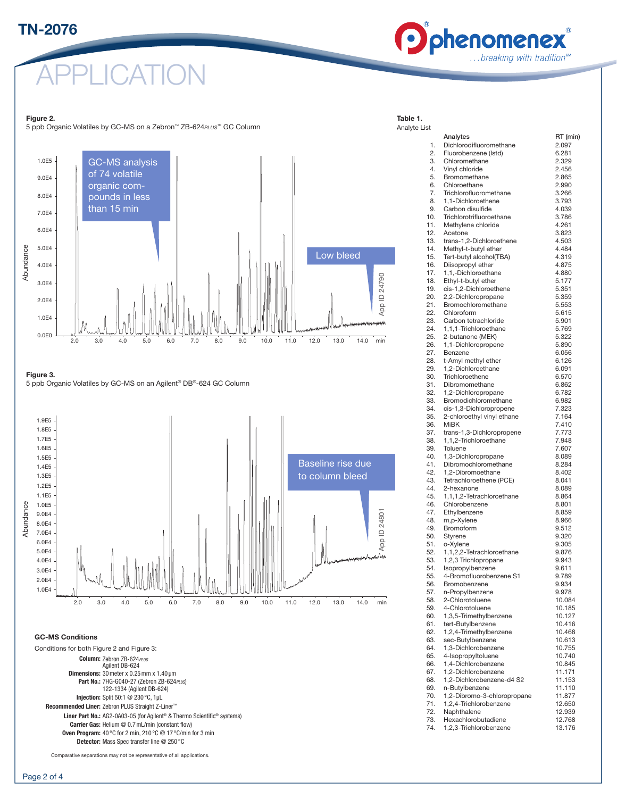# TN-2076



Table 1.

APPLICATION

#### Figure 2.

5 ppb Organic Volatiles by GC-MS on a Zebron™ ZB-624*PLUS*™ GC Column



Figure 3.

**ngure o:**<br>5 ppb Organic Volatiles by GC-MS on an Agilent® DB®-624 GC Column



#### GC-MS Conditions

Conditions for both Figure 2 and Figure 3: Column: Zebron ZB-624*PLUS* Agilent DB-624 Dimensions: 30meter x 0.25mm x 1.40 µm Part No.: 7HG-G040-27 (Zebron ZB-624*PLUS*) 122-1334 (Agilent DB-624) Injection: Split 50:1 @ 230 °C, 1µL Recommended Liner: Zebron PLUS Straight Z-Liner™ Liner Part No.: AG2-0A03-05 (for Agilent® & Thermo Scientific® systems) Carrier Gas: Helium @ 0.7mL/min (constant flow) Oven Program: 40 °C for 2 min, 210 °C @ 17 °C/min for 3 min Detector: Mass Spec transfer line @ 250 °C

Comparative separations may not be representative of all applications.

#### Analyte List Analytes RT (min) 1. Dichlorodifluoromethane 2.097 2. Fluorobenzene (Istd) 6.281<br>3. Chloromethane 9.329 3. Chloromethane 4. Vinyl chloride 2.456 5. Bromomethane 2.865 6. Chloroethane 2.990 7. Trichlorofluoromethane 3.266 8. 1.1-Dichloroethene 3.793 9 Carbon disulfide 4.039 10. Trichlorotrifluoroethane 3.786 11. Methylene chloride 4.261 12. Acetone 3.823 13. trans-1,2-Dichloroethene 4.503 14. Methyl-t-butyl ether 4.484 15. Tert-butyl alcohol(TBA) 4.319 16. Diisopropyl ether 4.875 17. 1,1,-Dichloroethane 4.880 18. Ethyl-t-butyl ether 5.177 19. cis-1,2-Dichloroethene 5.351 20. 2,2-Dichloropropane 5.359 21. Bromochloromethane 5.553 22. Chloroform 5.615 23. Carbon tetrachloride 5.901 24. 1,1,1-Trichloroethane 5.769 25. 2-butanone (MEK) 5.322 26. 1,1-Dichloropropene 5.890 27. Benzene 6.056 28. t-Amyl methyl ether 6.126 29. 1,2-Dichloroethane 6.091 30. Trichloroethene 6.570 31. Dibromomethane 6.862 32. 1,2-Dichloropropane 6.782 33. Bromodichloromethane 6.982 34. cis-1,3-Dichloropropene 7.323 35. 2-chloroethyl vinyl ethane 7.164 36. MiBK 7.410 37. trans-1,3-Dichloropropene 7.773 38. 1,1,2-Trichloroethane 7.948<br>39 Toluene 7.607 39. Toluene 40. 1,3-Dichloropropane 8.089<br>41 Dibromochloromethane 8.284 41. Dibromochloromethane 8.284<br>42 12-Dibromoethane 8.402 42. 1.2-Dibromoethane 43. Tetrachloroethene (PCE) 8.041<br>44. 2-hexanone 8.089 44. 2-hexanone 45. 1,1,1,2-Tetrachloroethane 8.864 46. Chlorobenzene 8.801 47. Ethylbenzene 8.859<br>48. m. oktober 8.966 48. m,p-Xylene 8.966<br>49 Bromoform 9.512 49. Bromoform 50. Styrene 9.320 51. o-Xylene 9.305 52. 1,1,2,2-Tetrachloroethane 9.876 53. 1,2,3 Trichlopropane 9.943 54. Isopropylbenzene 9.611 55. 4-Bromofluorobenzene S1 9.789 56. Bromobenzene 19.934<br>57 n-Propylbenzene 19.978 57. n-Propylbenzene 9.978<br>58 2-Chlorotoluene 10.084 58. 2-Chlorotoluene 59. 4-Chlorotoluene 10.185 60. 1,3,5-Trimethylbenzene 10.127 61. tert-Butylbenzene 10.416<br>62 12.4-Trimethylbenzene 10.468 62. 1.2.4-Trimethylbenzene 63. sec-Butylbenzene 10.613 64. 1,3-Dichlorobenzene 10.755 65. 4-Isopropyltoluene 10.740<br>66. 1.4-Dichlorobenzene 10.845 66. 1.4-Dichlorobenzene

- 67. 1,2-Dichlorobenzene 11.171 68. 1,2-Dichlorobenzene-d4 S2 11.153 69. n-Butylbenzene 11.110
- 70. 1,2-Dibromo-3-chloropropane 11.877 71. 1.2.4-Trichlorobenzene 72. Naphthalene 12.939 73. Hexachlorobutadiene 12.768
- 74. 1,2,3-Trichlorobenzene 13.176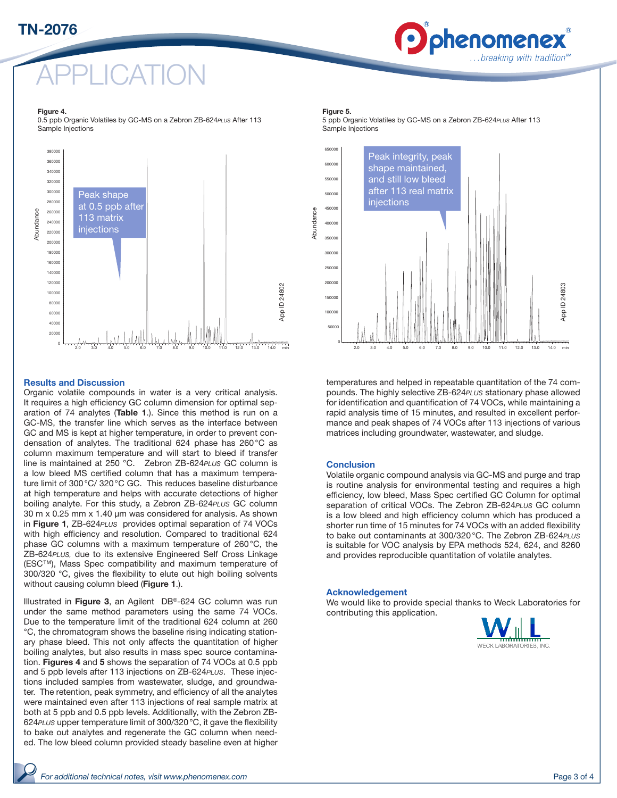# TN-2076



# APPLICATION

#### Figure 4.

0.5 ppb Organic Volatiles by GC-MS on a Zebron ZB-624*PLUS* After 113 Sample Injections



#### Results and Discussion

Organic volatile compounds in water is a very critical analysis. It requires a high efficiency GC column dimension for optimal separation of 74 analytes (Table 1.). Since this method is run on a GC-MS, the transfer line which serves as the interface between GC and MS is kept at higher temperature, in order to prevent condensation of analytes. The traditional 624 phase has 260°C as column maximum temperature and will start to bleed if transfer line is maintained at 250 °C. Zebron ZB-624*PLUS* GC column is a low bleed MS certified column that has a maximum temperature limit of 300°C/ 320°C GC. This reduces baseline disturbance at high temperature and helps with accurate detections of higher boiling analyte. For this study, a Zebron ZB-624*PLUS* GC column 30 m x 0.25 mm x 1.40 µm was considered for analysis. As shown in Figure 1, ZB-624*PLUS* provides optimal separation of 74 VOCs with high efficiency and resolution. Compared to traditional 624 phase GC columns with a maximum temperature of 260°C, the ZB-624*PLUS,* due to its extensive Engineered Self Cross Linkage (ESC™), Mass Spec compatibility and maximum temperature of 300/320 °C, gives the flexibility to elute out high boiling solvents without causing column bleed (Figure 1.).

Illustrated in Figure 3, an Agilent DB®-624 GC column was run under the same method parameters using the same 74 VOCs. Due to the temperature limit of the traditional 624 column at 260 °C, the chromatogram shows the baseline rising indicating stationary phase bleed. This not only affects the quantitation of higher boiling analytes, but also results in mass spec source contamination. Figures 4 and 5 shows the separation of 74 VOCs at 0.5 ppb and 5 ppb levels after 113 injections on ZB-624*PLUS*. These injections included samples from wastewater, sludge, and groundwater. The retention, peak symmetry, and efficiency of all the analytes were maintained even after 113 injections of real sample matrix at both at 5 ppb and 0.5 ppb levels. Additionally, with the Zebron ZB-624*PLUS* upper temperature limit of 300/320°C, it gave the flexibility to bake out analytes and regenerate the GC column when needed. The low bleed column provided steady baseline even at higher

#### Figure 5.

5 ppb Organic Volatiles by GC-MS on a Zebron ZB-624*PLUS* After 113 Sample Injections



temperatures and helped in repeatable quantitation of the 74 compounds. The highly selective ZB-624*PLUS* stationary phase allowed for identification and quantification of 74 VOCs, while maintaining a rapid analysis time of 15 minutes, and resulted in excellent performance and peak shapes of 74 VOCs after 113 injections of various matrices including groundwater, wastewater, and sludge.

#### **Conclusion**

Volatile organic compound analysis via GC-MS and purge and trap is routine analysis for environmental testing and requires a high efficiency, low bleed, Mass Spec certified GC Column for optimal separation of critical VOCs. The Zebron ZB-624*PLUS* GC column is a low bleed and high efficiency column which has produced a shorter run time of 15 minutes for 74 VOCs with an added flexibility to bake out contaminants at 300/320°C. The Zebron ZB-624*PLUS*  is suitable for VOC analysis by EPA methods 524, 624, and 8260 and provides reproducible quantitation of volatile analytes.

#### Acknowledgement

We would like to provide special thanks to Weck Laboratories for contributing this application.